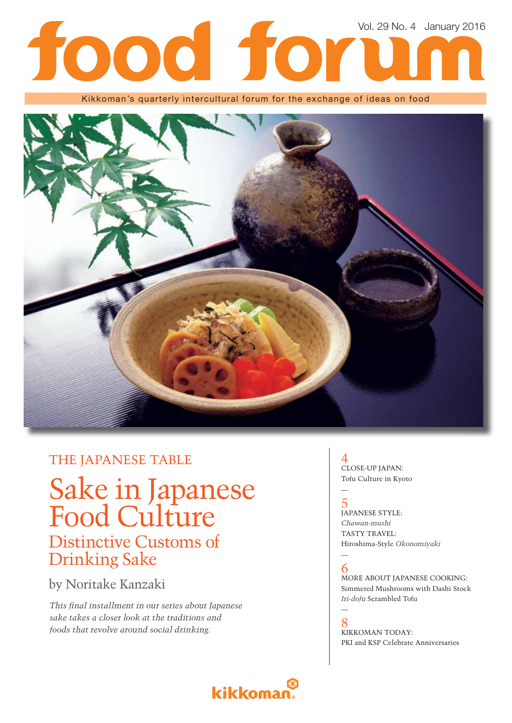# Vol. 29 No. 4 January 2016 food for

Kikkoman's quarterly intercultural forum for the exchange of ideas on food



### THE JAPANESE TABLE

# Sake in Japanese Food Culture

## Distinctive Customs of Drinking Sake

## by Noritake Kanzaki

*This fi nal installment in our series about Japanese sake takes a closer look at the traditions and foods that revolve around social drinking.* 

### 4 CLOSE-UP JAPAN: Tofu Culture in Kyoto

### 5 JAPANESE STYLE: *Chawan-mushi* TASTY TRAVEL: Hiroshima-Style *Okonomiyaki*

#### — 6

—

MORE ABOUT JAPANESE COOKING: Simmered Mushrooms with Dashi Stock *Iri-dofu* Scrambled Tofu

#### — 8

KIKKOMAN TODAY: PKI and KSP Celebrate Anniversaries

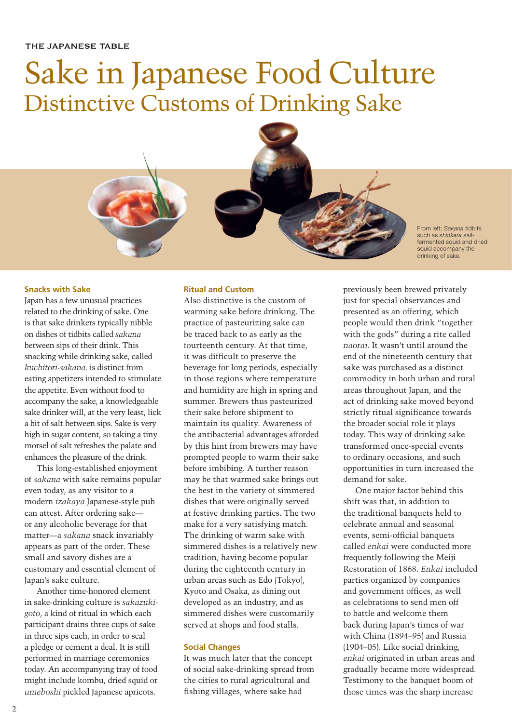## Sake in Japanese Food Culture Distinctive Customs of Drinking Sake



From left: *Sakana* tidbits such as *shiokara* saltfermented squid and dried squid accompany the drinking of sake.

#### **Snacks with Sake**

Japan has a few unusual practices related to the drinking of sake. One is that sake drinkers typically nibble on dishes of tidbits called *sakana*  between sips of their drink. This snacking while drinking sake, called *kuchitori-sakana,* is distinct from eating appetizers intended to stimulate the appetite. Even without food to accompany the sake, a knowledgeable sake drinker will, at the very least, lick a bit of salt between sips. Sake is very high in sugar content, so taking a tiny morsel of salt refreshes the palate and enhances the pleasure of the drink.

This long-established enjoyment of *sakana* with sake remains popular even today, as any visitor to a modern *izakaya* Japanese-style pub can attest. After ordering sake or any alcoholic beverage for that matter—a *sakana* snack invariably appears as part of the order. These small and savory dishes are a customary and essential element of Japan's sake culture.

Another time-honored element in sake-drinking culture is *sakazukigoto*, a kind of ritual in which each participant drains three cups of sake in three sips each, in order to seal a pledge or cement a deal. It is still performed in marriage ceremonies today. An accompanying tray of food might include kombu, dried squid or *umeboshi* pickled Japanese apricots.

#### **Ritual and Custom**

Also distinctive is the custom of warming sake before drinking. The practice of pasteurizing sake can be traced back to as early as the fourteenth century. At that time, it was difficult to preserve the beverage for long periods, especially in those regions where temperature and humidity are high in spring and summer. Brewers thus pasteurized their sake before shipment to maintain its quality. Awareness of the antibacterial advantages afforded by this hint from brewers may have prompted people to warm their sake before imbibing. A further reason may be that warmed sake brings out the best in the variety of simmered dishes that were originally served at festive drinking parties. The two make for a very satisfying match. The drinking of warm sake with simmered dishes is a relatively new tradition, having become popular during the eighteenth century in urban areas such as Edo (Tokyo), Kyoto and Osaka, as dining out developed as an industry, and as simmered dishes were customarily served at shops and food stalls.

#### **Social Changes**

It was much later that the concept of social sake-drinking spread from the cities to rural agricultural and fishing villages, where sake had

previously been brewed privately just for special observances and presented as an offering, which people would then drink "together with the gods" during a rite called *naorai*. It wasn't until around the end of the nineteenth century that sake was purchased as a distinct commodity in both urban and rural areas throughout Japan, and the act of drinking sake moved beyond strictly ritual significance towards the broader social role it plays today. This way of drinking sake transformed once-special events to ordinary occasions, and such opportunities in turn increased the demand for sake.

One major factor behind this shift was that, in addition to the traditional banquets held to celebrate annual and seasonal events, semi-official banquets called *enkai* were conducted more frequently following the Meiji Restoration of 1868. *Enkai* included parties organized by companies and government offices, as well as celebrations to send men off to battle and welcome them back during Japan's times of war with China (1894–95) and Russia (1904–05). Like social drinking, *enkai* originated in urban areas and gradually became more widespread. Testimony to the banquet boom of those times was the sharp increase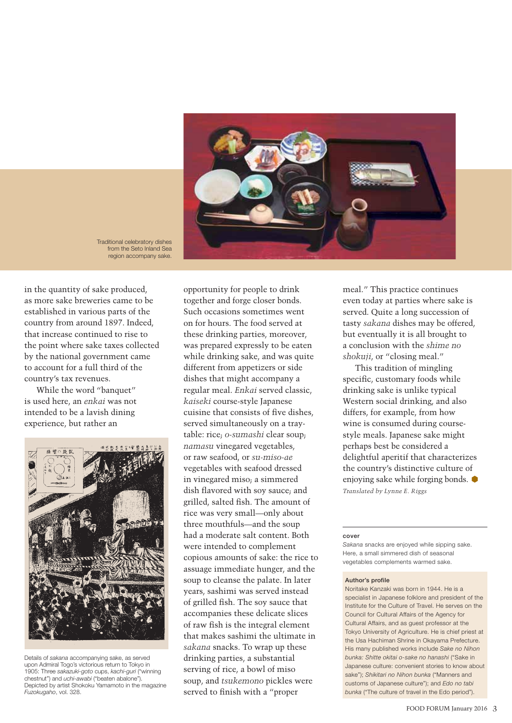

Traditional celebratory dishes from the Seto Inland Sea region accompany sake.

in the quantity of sake produced, as more sake breweries came to be established in various parts of the country from around 1897. Indeed, that increase continued to rise to the point where sake taxes collected by the national government came to account for a full third of the country's tax revenues.

While the word "banquet" is used here, an *enkai* was not intended to be a lavish dining experience, but rather an



Details of *sakana* accompanying sake, as served upon Admiral Togo's victorious return to Tokyo in 1905: Three *sakazuki-goto* cups, *kachi-guri* ("winning chestnut") and *uchi-awabi* ("beaten abalone"). Depicted by artist Shokoku Yamamoto in the magazine *Fuzokugaho*, vol. 328.

opportunity for people to drink together and forge closer bonds. Such occasions sometimes went on for hours. The food served at these drinking parties, moreover, was prepared expressly to be eaten while drinking sake, and was quite different from appetizers or side dishes that might accompany a regular meal. *Enkai* served classic, *kaiseki* course-style Japanese cuisine that consists of five dishes. served simultaneously on a traytable: rice; *o-sumashi* clear soup; *namasu* vinegared vegetables, or raw seafood, or *su-miso-ae*  vegetables with seafood dressed in vinegared miso; a simmered dish flavored with soy sauce; and grilled, salted fish. The amount of rice was very small—only about three mouthfuls—and the soup had a moderate salt content. Both were intended to complement copious amounts of sake: the rice to assuage immediate hunger, and the soup to cleanse the palate. In later years, sashimi was served instead of grilled fish. The soy sauce that accompanies these delicate slices of raw fish is the integral element that makes sashimi the ultimate in *sakana* snacks. To wrap up these drinking parties, a substantial serving of rice, a bowl of miso soup, and *tsukemono* pickles were served to finish with a "proper

meal." This practice continues even today at parties where sake is served. Quite a long succession of tasty *sakana* dishes may be offered, but eventually it is all brought to a conclusion with the *shime no shokuji*, or "closing meal."

This tradition of mingling specific, customary foods while drinking sake is unlike typical Western social drinking, and also differs, for example, from how wine is consumed during coursestyle meals. Japanese sake might perhaps best be considered a delightful aperitif that characterizes the country's distinctive culture of enjoying sake while forging bonds.  $\bullet$ *Translated by Lynne E. Riggs*

#### **cover**

*Sakana* snacks are enjoyed while sipping sake. Here, a small simmered dish of seasonal vegetables complements warmed sake.

#### **Author's profile**

Noritake Kanzaki was born in 1944. He is a specialist in Japanese folklore and president of the Institute for the Culture of Travel. He serves on the Council for Cultural Affairs of the Agency for Cultural Affairs, and as guest professor at the Tokyo University of Agriculture. He is chief priest at the Usa Hachiman Shrine in Okayama Prefecture. His many published works include *Sake no Nihon bunka: Shitte okitai o-sake no hanashi* ("Sake in Japanese culture: convenient stories to know about sake"); *Shikitari no Nihon bunka* ("Manners and customs of Japanese culture"); and *Edo no tabi bunka* ("The culture of travel in the Edo period").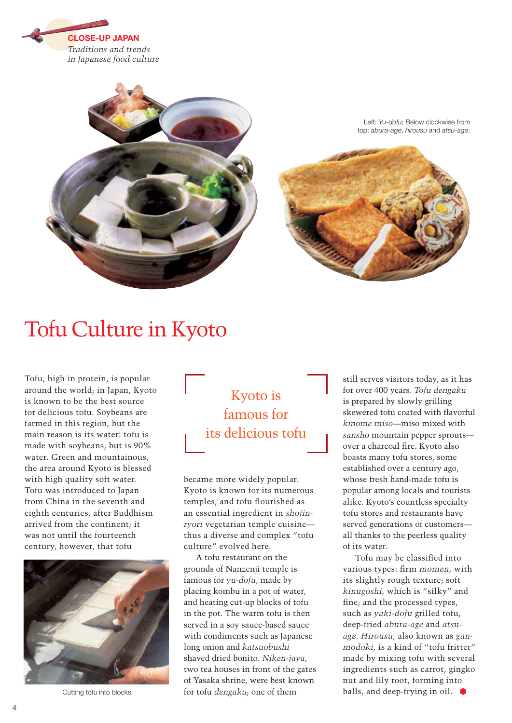



Left: *Yu-dofu*; Below clockwise from top: *abura-age*, *hirousu* and *atsu-age*.



## Tofu Culture in Kyoto

Tofu, high in protein, is popular around the world; in Japan, Kyoto is known to be the best source for delicious tofu. Soybeans are farmed in this region, but the main reason is its water: tofu is made with soybeans, but is 90% water. Green and mountainous, the area around Kyoto is blessed with high quality soft water. Tofu was introduced to Japan from China in the seventh and eighth centuries, after Buddhism arrived from the continent; it was not until the fourteenth century, however, that tofu



Cutting tofu into blocks

Kyoto is famous for its delicious tofu

became more widely popular. Kyoto is known for its numerous temples, and tofu flourished as an essential ingredient in *shojinryori* vegetarian temple cuisine thus a diverse and complex "tofu culture" evolved here.

A tofu restaurant on the grounds of Nanzenji temple is famous for *yu-dofu*, made by placing kombu in a pot of water, and heating cut-up blocks of tofu in the pot. The warm tofu is then served in a soy sauce-based sauce with condiments such as Japanese long onion and *katsuobushi* shaved dried bonito. *Niken-jaya*, two tea houses in front of the gates of Yasaka shrine, were best known for tofu *dengaku*; one of them

still serves visitors today, as it has for over 400 years. *Tofu dengaku* is prepared by slowly grilling skewered tofu coated with flavorful *kinome miso*—miso mixed with *sansho* mountain pepper sprouts over a charcoal fire. Kyoto also boasts many tofu stores, some established over a century ago, whose fresh hand-made tofu is popular among locals and tourists alike. Kyoto's countless specialty tofu stores and restaurants have served generations of customers all thanks to the peerless quality of its water.

Tofu may be classified into various types: firm *momen*, with its slightly rough texture; soft *kinugoshi*, which is "silky" and fine; and the processed types, such as *yaki-dofu* grilled tofu, deep-fried *abura-age* and *atsuage. Hirousu*, also known as *ganmodoki*, is a kind of "tofu fritter" made by mixing tofu with several ingredients such as carrot, gingko nut and lily root, forming into balls, and deep-frying in oil.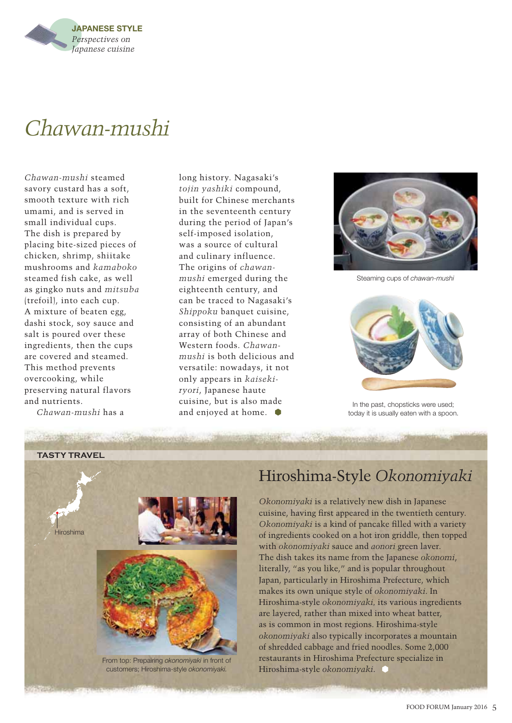

## *Chawan-mushi*

*Chawan-mushi* steamed savory custard has a soft, smooth texture with rich umami, and is served in small individual cups. The dish is prepared by placing bite-sized pieces of chicken, shrimp, shiitake mushrooms and *kamaboko* steamed fish cake, as well as gingko nuts and *mitsuba* (trefoil), into each cup. A mixture of beaten egg, dashi stock, soy sauce and salt is poured over these ingredients, then the cups are covered and steamed. This method prevents overcooking, while preserving natural flavors and nutrients.

*Chawan-mushi* has a

long history. Nagasaki's *tojin yashiki* compound, built for Chinese merchants in the seventeenth century during the period of Japan's self-imposed isolation, was a source of cultural and culinary influence. The origins of *chawanmushi* emerged during the eighteenth century, and can be traced to Nagasaki's *Shippoku* banquet cuisine, consisting of an abundant array of both Chinese and Western foods. *Chawanmushi* is both delicious and versatile: nowadays, it not only appears in *kaisekiryori*, Japanese haute cuisine, but is also made and enjoyed at home.



Steaming cups of *chawan-mushi*



In the past, chopsticks were used; today it is usually eaten with a spoon.



## Hiroshima-Style *Okonomiyaki*

*Okonomiyaki* is a relatively new dish in Japanese cuisine, having first appeared in the twentieth century. *Okonomiyaki* is a kind of pancake filled with a variety of ingredients cooked on a hot iron griddle, then topped with *okonomiyaki* sauce and *aonori* green laver. The dish takes its name from the Japanese *okonomi*, literally, "as you like," and is popular throughout Japan, particularly in Hiroshima Prefecture, which makes its own unique style of *okonomiyaki*. In Hiroshima-style *okonomiyaki,* its various ingredients are layered, rather than mixed into wheat batter, as is common in most regions. Hiroshima-style *okonomiyaki* also typically incorporates a mountain of shredded cabbage and fried noodles. Some 2,000 restaurants in Hiroshima Prefecture specialize in Hiroshima-style *okonomiyaki*.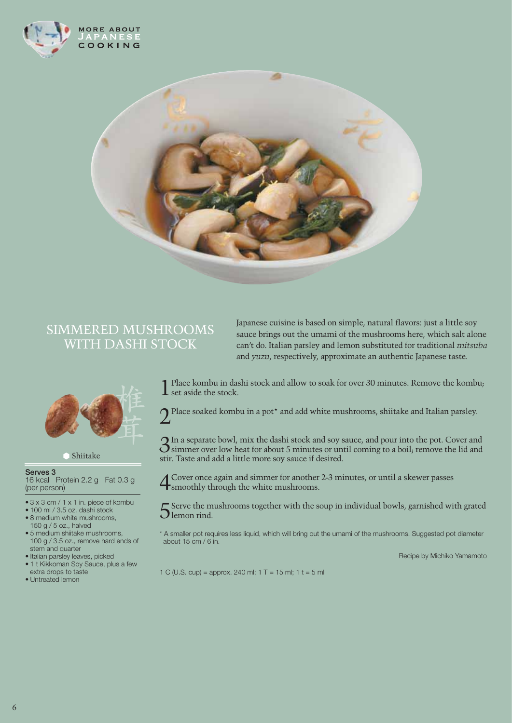



## SIMMERED MUSHROOMS WITH DASHI STOCK



Shiitake

#### **Serves 3** 16 kcal Protein 2.2 g Fat 0.3 g (per person)

- 3 x 3 cm / 1 x 1 in. piece of kombu
- 100 ml / 3.5 oz. dashi stock • 8 medium white mushrooms,
- 150 g / 5 oz., halved • 5 medium shiitake mushrooms, 100 g / 3.5 oz., remove hard ends of stem and quarter
- Italian parsley leaves, picked
- 1 t Kikkoman Soy Sauce, plus a few extra drops to taste
- Untreated lemon

Japanese cuisine is based on simple, natural flavors: just a little soy sauce brings out the umami of the mushrooms here, which salt alone can't do. Italian parsley and lemon substituted for traditional *mitsuba* and *yuzu*, respectively, approximate an authentic Japanese taste.

1Place kombu in dashi stock and allow to soak for over 30 minutes. Remove the kombu;  $\boldsymbol{\mathsf{L}}$  set aside the stock.

 $\bigcap$  Place soaked kombu in a pot\* and add white mushrooms, shiitake and Italian parsley.

3In a separate bowl, mix the dashi stock and soy sauce, and pour into the pot. Cover and simmer over low heat for about 5 minutes or until coming to a boil; remove the lid and stir. Taste and add a little more soy sauce if desired.

4Cover once again and simmer for another 2-3 minutes, or until a skewer passes **t** smoothly through the white mushrooms.

 $5$  Serve the mushrooms together with the soup in individual bowls, garnished with grated Dlemon rind.

\* A smaller pot requires less liquid, which will bring out the umami of the mushrooms. Suggested pot diameter about 15 cm / 6 in.

Recipe by Michiko Yamamoto

1 C (U.S. cup) = approx. 240 ml; 1 T = 15 ml; 1 t = 5 ml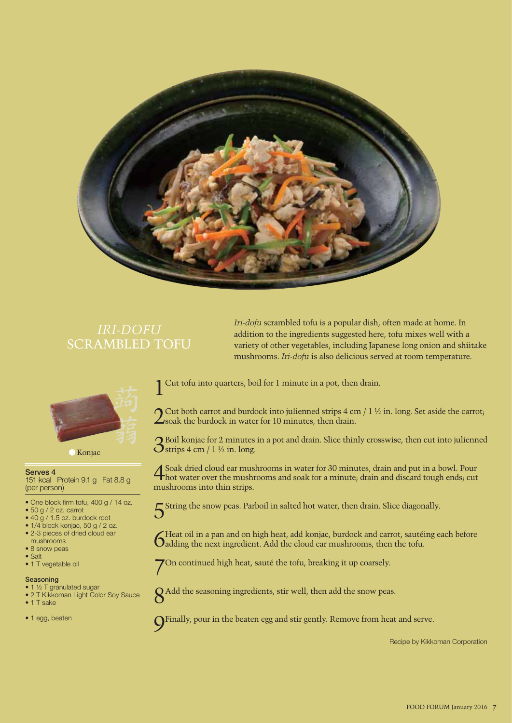

## *IRI-DOFU* SCRAMBLED TOFU



Konjac

**Serves 4** 151 kcal Protein 9.1 g Fat 8.8 g (per person)

- One block firm tofu, 400 g / 14 oz.
- 50 g / 2 oz. carrot
- 40 g / 1.5 oz. burdock root
- 1/4 block konjac, 50 g / 2 oz. • 2-3 pieces of dried cloud ear
- mushrooms
- 8 snow peas • Salt
- 1 T vegetable oil

#### **Seasoning**

- 1 ½ T granulated sugar
- 2 T Kikkoman Light Color Soy Sauce
- 1 T sake
- 1 egg, beaten

Cut tofu into quarters, boil for 1 minute in a pot, then drain.

 $\bigcap$  Cut both carrot and burdock into julienned strips 4 cm / 1 ½ in. long. Set aside the carrot;  $\angle$ soak the burdock in water for 10 minutes, then drain.

*Iri-dofu* scrambled tofu is a popular dish, often made at home. In addition to the ingredients suggested here, tofu mixes well with a variety of other vegetables, including Japanese long onion and shiitake mushrooms. *Iri-dofu* is also delicious served at room temperature.

3Boil konjac for 2 minutes in a pot and drain. Slice thinly crosswise, then cut into julienned  $\mathbf{\hat{O}}$ strips 4 cm / 1 ½ in. long.

4Soak dried cloud ear mushrooms in water for 30 minutes, drain and put in a bowl. Pour hot water over the mushrooms and soak for a minute; drain and discard tough ends; cut mushrooms into thin strips.

5String the snow peas. Parboil in salted hot water, then drain. Slice diagonally.

6Heat oil in a pan and on high heat, add konjac, burdock and carrot, sautéing each before adding the next ingredient. Add the cloud ear mushrooms, then the tofu.

7On continued high heat, sauté the tofu, breaking it up coarsely.



8Add the seasoning ingredients, stir well, then add the snow peas.

9Finally, pour in the beaten egg and stir gently. Remove from heat and serve.

Recipe by Kikkoman Corporation